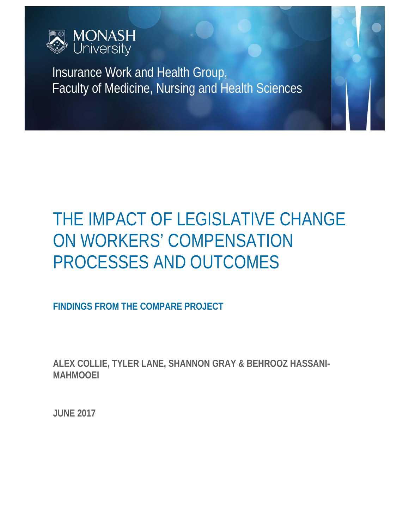

Insurance Work and Health Group, Faculty of Medicine, Nursing and Health Sciences

# THE IMPACT OF LEGISLATIVE CHANGE ON WORKERS' COMPENSATION PROCESSES AND OUTCOMES

**FINDINGS FROM THE COMPARE PROJECT** 

**ALEX COLLIE, TYLER LANE, SHANNON GRAY & BEHROOZ HASSANI-MAHMOOEI** 

**JUNE 2017**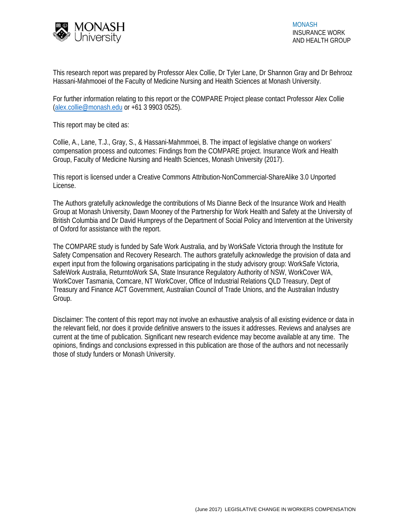

This research report was prepared by Professor Alex Collie, Dr Tyler Lane, Dr Shannon Gray and Dr Behrooz Hassani-Mahmooei of the Faculty of Medicine Nursing and Health Sciences at Monash University.

For further information relating to this report or the COMPARE Project please contact Professor Alex Collie (alex.collie@monash.edu or +61 3 9903 0525).

This report may be cited as:

Collie, A., Lane, T.J., Gray, S., & Hassani-Mahmmoei, B. The impact of legislative change on workers' compensation process and outcomes: Findings from the COMPARE project. Insurance Work and Health Group, Faculty of Medicine Nursing and Health Sciences, Monash University (2017).

This report is licensed under a Creative Commons Attribution-NonCommercial-ShareAlike 3.0 Unported License.

The Authors gratefully acknowledge the contributions of Ms Dianne Beck of the Insurance Work and Health Group at Monash University, Dawn Mooney of the Partnership for Work Health and Safety at the University of British Columbia and Dr David Humpreys of the Department of Social Policy and Intervention at the University of Oxford for assistance with the report.

The COMPARE study is funded by Safe Work Australia, and by WorkSafe Victoria through the Institute for Safety Compensation and Recovery Research. The authors gratefully acknowledge the provision of data and expert input from the following organisations participating in the study advisory group: WorkSafe Victoria, SafeWork Australia, ReturntoWork SA, State Insurance Regulatory Authority of NSW, WorkCover WA, WorkCover Tasmania, Comcare, NT WorkCover, Office of Industrial Relations QLD Treasury, Dept of Treasury and Finance ACT Government, Australian Council of Trade Unions, and the Australian Industry Group.

Disclaimer: The content of this report may not involve an exhaustive analysis of all existing evidence or data in the relevant field, nor does it provide definitive answers to the issues it addresses. Reviews and analyses are current at the time of publication. Significant new research evidence may become available at any time. The opinions, findings and conclusions expressed in this publication are those of the authors and not necessarily those of study funders or Monash University.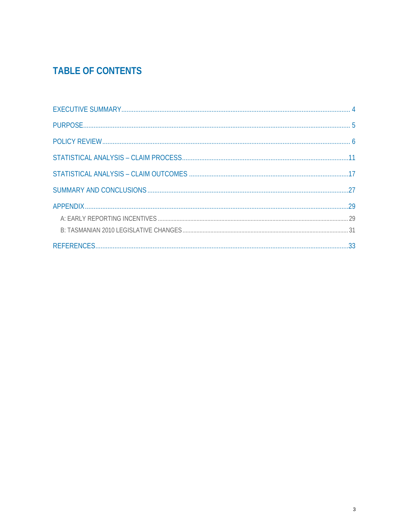# **TABLE OF CONTENTS**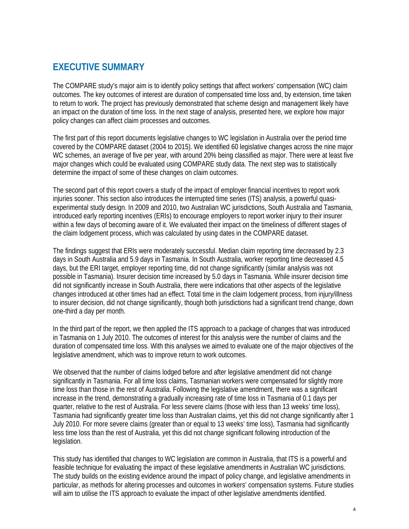# **EXECUTIVE SUMMARY**

The COMPARE study's major aim is to identify policy settings that affect workers' compensation (WC) claim outcomes. The key outcomes of interest are duration of compensated time loss and, by extension, time taken to return to work. The project has previously demonstrated that scheme design and management likely have an impact on the duration of time loss. In the next stage of analysis, presented here, we explore how major policy changes can affect claim processes and outcomes.

The first part of this report documents legislative changes to WC legislation in Australia over the period time covered by the COMPARE dataset (2004 to 2015). We identified 60 legislative changes across the nine major WC schemes, an average of five per year, with around 20% being classified as major. There were at least five major changes which could be evaluated using COMPARE study data. The next step was to statistically determine the impact of some of these changes on claim outcomes.

The second part of this report covers a study of the impact of employer financial incentives to report work injuries sooner. This section also introduces the interrupted time series (ITS) analysis, a powerful quasiexperimental study design. In 2009 and 2010, two Australian WC jurisdictions, South Australia and Tasmania, introduced early reporting incentives (ERIs) to encourage employers to report worker injury to their insurer within a few days of becoming aware of it. We evaluated their impact on the timeliness of different stages of the claim lodgement process, which was calculated by using dates in the COMPARE dataset.

The findings suggest that ERIs were moderately successful. Median claim reporting time decreased by 2.3 days in South Australia and 5.9 days in Tasmania. In South Australia, worker reporting time decreased 4.5 days, but the ERI target, employer reporting time, did not change significantly (similar analysis was not possible in Tasmania). Insurer decision time increased by 5.0 days in Tasmania. While insurer decision time did not significantly increase in South Australia, there were indications that other aspects of the legislative changes introduced at other times had an effect. Total time in the claim lodgement process, from injury/illness to insurer decision, did not change significantly, though both jurisdictions had a significant trend change, down one-third a day per month.

In the third part of the report, we then applied the ITS approach to a package of changes that was introduced in Tasmania on 1 July 2010. The outcomes of interest for this analysis were the number of claims and the duration of compensated time loss. With this analyses we aimed to evaluate one of the major objectives of the legislative amendment, which was to improve return to work outcomes.

We observed that the number of claims lodged before and after legislative amendment did not change significantly in Tasmania. For all time loss claims, Tasmanian workers were compensated for slightly more time loss than those in the rest of Australia. Following the legislative amendment, there was a significant increase in the trend, demonstrating a gradually increasing rate of time loss in Tasmania of 0.1 days per quarter, relative to the rest of Australia. For less severe claims (those with less than 13 weeks' time loss), Tasmania had significantly greater time loss than Australian claims, yet this did not change significantly after 1 July 2010. For more severe claims (greater than or equal to 13 weeks' time loss), Tasmania had significantly less time loss than the rest of Australia, yet this did not change significant following introduction of the legislation.

This study has identified that changes to WC legislation are common in Australia, that ITS is a powerful and feasible technique for evaluating the impact of these legislative amendments in Australian WC jurisdictions. The study builds on the existing evidence around the impact of policy change, and legislative amendments in particular, as methods for altering processes and outcomes in workers' compensation systems. Future studies will aim to utilise the ITS approach to evaluate the impact of other legislative amendments identified.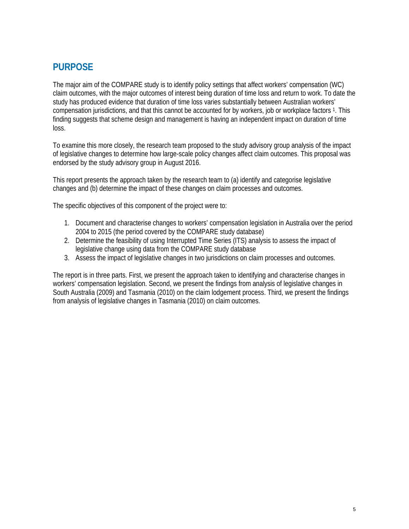# **PURPOSE**

The major aim of the COMPARE study is to identify policy settings that affect workers' compensation (WC) claim outcomes, with the major outcomes of interest being duration of time loss and return to work. To date the study has produced evidence that duration of time loss varies substantially between Australian workers' compensation jurisdictions, and that this cannot be accounted for by workers, job or workplace factors 1. This finding suggests that scheme design and management is having an independent impact on duration of time loss.

To examine this more closely, the research team proposed to the study advisory group analysis of the impact of legislative changes to determine how large-scale policy changes affect claim outcomes. This proposal was endorsed by the study advisory group in August 2016.

This report presents the approach taken by the research team to (a) identify and categorise legislative changes and (b) determine the impact of these changes on claim processes and outcomes.

The specific objectives of this component of the project were to:

- 1. Document and characterise changes to workers' compensation legislation in Australia over the period 2004 to 2015 (the period covered by the COMPARE study database)
- 2. Determine the feasibility of using Interrupted Time Series (ITS) analysis to assess the impact of legislative change using data from the COMPARE study database
- 3. Assess the impact of legislative changes in two jurisdictions on claim processes and outcomes.

The report is in three parts. First, we present the approach taken to identifying and characterise changes in workers' compensation legislation. Second, we present the findings from analysis of legislative changes in South Australia (2009) and Tasmania (2010) on the claim lodgement process. Third, we present the findings from analysis of legislative changes in Tasmania (2010) on claim outcomes.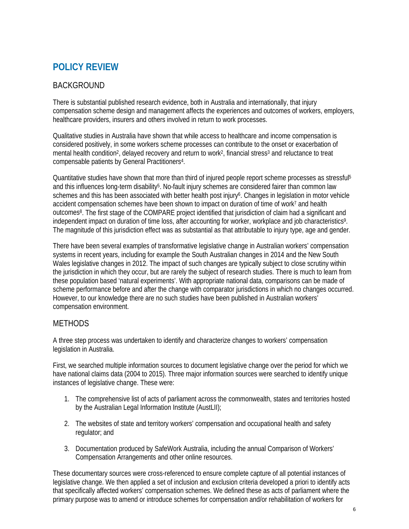# **POLICY REVIEW**

## BACKGROUND

There is substantial published research evidence, both in Australia and internationally, that injury compensation scheme design and management affects the experiences and outcomes of workers, employers, healthcare providers, insurers and others involved in return to work processes.

Qualitative studies in Australia have shown that while access to healthcare and income compensation is considered positively, in some workers scheme processes can contribute to the onset or exacerbation of mental health condition<sup>2</sup>, delayed recovery and return to work<sup>2</sup>, financial stress<sup>3</sup> and reluctance to treat compensable patients by General Practitioners4.

Quantitative studies have shown that more than third of injured people report scheme processes as stressful<sup>5</sup> and this influences long-term disability<sup>5</sup>. No-fault injury schemes are considered fairer than common law schemes and this has been associated with better health post injury<sup>6</sup>. Changes in legislation in motor vehicle accident compensation schemes have been shown to impact on duration of time of work7 and health outcomes8. The first stage of the COMPARE project identified that jurisdiction of claim had a significant and independent impact on duration of time loss, after accounting for worker, workplace and job characteristics9. The magnitude of this jurisdiction effect was as substantial as that attributable to injury type, age and gender.

There have been several examples of transformative legislative change in Australian workers' compensation systems in recent years, including for example the South Australian changes in 2014 and the New South Wales legislative changes in 2012. The impact of such changes are typically subject to close scrutiny within the jurisdiction in which they occur, but are rarely the subject of research studies. There is much to learn from these population based 'natural experiments'. With appropriate national data, comparisons can be made of scheme performance before and after the change with comparator jurisdictions in which no changes occurred. However, to our knowledge there are no such studies have been published in Australian workers' compensation environment.

### **METHODS**

A three step process was undertaken to identify and characterize changes to workers' compensation legislation in Australia.

First, we searched multiple information sources to document legislative change over the period for which we have national claims data (2004 to 2015). Three major information sources were searched to identify unique instances of legislative change. These were:

- 1. The comprehensive list of acts of parliament across the commonwealth, states and territories hosted by the Australian Legal Information Institute (AustLII);
- 2. The websites of state and territory workers' compensation and occupational health and safety regulator; and
- 3. Documentation produced by SafeWork Australia, including the annual Comparison of Workers' Compensation Arrangements and other online resources.

These documentary sources were cross-referenced to ensure complete capture of all potential instances of legislative change. We then applied a set of inclusion and exclusion criteria developed a priori to identify acts that specifically affected workers' compensation schemes. We defined these as acts of parliament where the primary purpose was to amend or introduce schemes for compensation and/or rehabilitation of workers for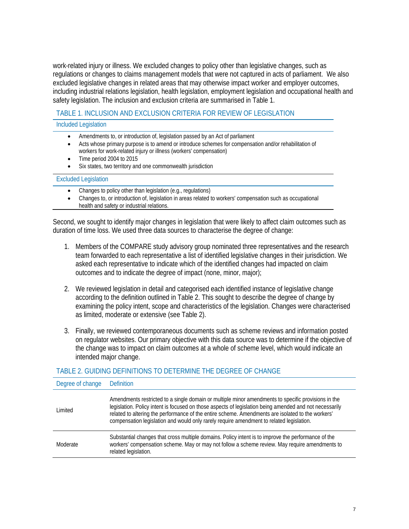work-related injury or illness. We excluded changes to policy other than legislative changes, such as regulations or changes to claims management models that were not captured in acts of parliament. We also excluded legislative changes in related areas that may otherwise impact worker and employer outcomes, including industrial relations legislation, health legislation, employment legislation and occupational health and safety legislation. The inclusion and exclusion criteria are summarised in Table 1.

#### TABLE 1. INCLUSION AND EXCLUSION CRITERIA FOR REVIEW OF LEGISLATION

Included Legislation

- Amendments to, or introduction of, legislation passed by an Act of parliament
- Acts whose primary purpose is to amend or introduce schemes for compensation and/or rehabilitation of workers for work-related injury or illness (workers' compensation)
- Time period 2004 to 2015
- Six states, two territory and one commonwealth jurisdiction

#### Excluded Legislation

- Changes to policy other than legislation (e.g., regulations)
- Changes to, or introduction of, legislation in areas related to workers' compensation such as occupational health and safety or industrial relations.

Second, we sought to identify major changes in legislation that were likely to affect claim outcomes such as duration of time loss. We used three data sources to characterise the degree of change:

- 1. Members of the COMPARE study advisory group nominated three representatives and the research team forwarded to each representative a list of identified legislative changes in their jurisdiction. We asked each representative to indicate which of the identified changes had impacted on claim outcomes and to indicate the degree of impact (none, minor, major);
- 2. We reviewed legislation in detail and categorised each identified instance of legislative change according to the definition outlined in Table 2. This sought to describe the degree of change by examining the policy intent, scope and characteristics of the legislation. Changes were characterised as limited, moderate or extensive (see Table 2).
- 3. Finally, we reviewed contemporaneous documents such as scheme reviews and information posted on regulator websites. Our primary objective with this data source was to determine if the objective of the change was to impact on claim outcomes at a whole of scheme level, which would indicate an intended major change.

#### TABLE 2. GUIDING DEFINITIONS TO DETERMINE THE DEGREE OF CHANGE

| Degree of change | <b>Definition</b>                                                                                                                                                                                                                                                                                                                                                                                               |
|------------------|-----------------------------------------------------------------------------------------------------------------------------------------------------------------------------------------------------------------------------------------------------------------------------------------------------------------------------------------------------------------------------------------------------------------|
| Limited          | Amendments restricted to a single domain or multiple minor amendments to specific provisions in the<br>legislation. Policy intent is focused on those aspects of legislation being amended and not necessarily<br>related to altering the performance of the entire scheme. Amendments are isolated to the workers'<br>compensation legislation and would only rarely require amendment to related legislation. |
| Moderate         | Substantial changes that cross multiple domains. Policy intent is to improve the performance of the<br>workers' compensation scheme. May or may not follow a scheme review. May require amendments to<br>related legislation.                                                                                                                                                                                   |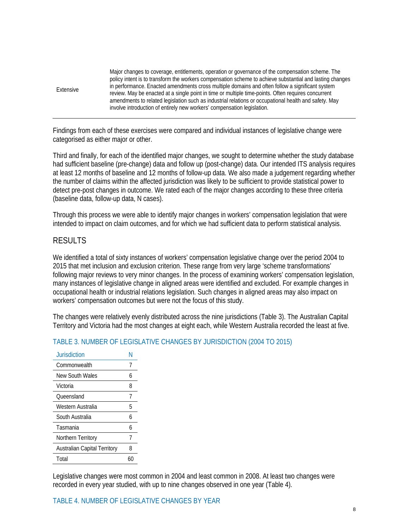| Major changes to coverage, entitlements, operation or governance of the compensation scheme. The<br>policy intent is to transform the workers compensation scheme to achieve substantial and lasting changes<br>in performance. Enacted amendments cross multiple domains and often follow a significant system<br>Extensive<br>review. May be enacted at a single point in time or multiple time-points. Often requires concurrent<br>amendments to related legislation such as industrial relations or occupational health and safety. May<br>involve introduction of entirely new workers' compensation legislation. |  |
|-------------------------------------------------------------------------------------------------------------------------------------------------------------------------------------------------------------------------------------------------------------------------------------------------------------------------------------------------------------------------------------------------------------------------------------------------------------------------------------------------------------------------------------------------------------------------------------------------------------------------|--|
|-------------------------------------------------------------------------------------------------------------------------------------------------------------------------------------------------------------------------------------------------------------------------------------------------------------------------------------------------------------------------------------------------------------------------------------------------------------------------------------------------------------------------------------------------------------------------------------------------------------------------|--|

Findings from each of these exercises were compared and individual instances of legislative change were categorised as either major or other.

Third and finally, for each of the identified major changes, we sought to determine whether the study database had sufficient baseline (pre-change) data and follow up (post-change) data. Our intended ITS analysis requires at least 12 months of baseline and 12 months of follow-up data. We also made a judgement regarding whether the number of claims within the affected jurisdiction was likely to be sufficient to provide statistical power to detect pre-post changes in outcome. We rated each of the major changes according to these three criteria (baseline data, follow-up data, N cases).

Through this process we were able to identify major changes in workers' compensation legislation that were intended to impact on claim outcomes, and for which we had sufficient data to perform statistical analysis.

### RESULTS

We identified a total of sixty instances of workers' compensation legislative change over the period 2004 to 2015 that met inclusion and exclusion criterion. These range from very large 'scheme transformations' following major reviews to very minor changes. In the process of examining workers' compensation legislation, many instances of legislative change in aligned areas were identified and excluded. For example changes in occupational health or industrial relations legislation. Such changes in aligned areas may also impact on workers' compensation outcomes but were not the focus of this study.

The changes were relatively evenly distributed across the nine jurisdictions (Table 3). The Australian Capital Territory and Victoria had the most changes at eight each, while Western Australia recorded the least at five.

| Jurisdiction                        |    |
|-------------------------------------|----|
| Commonwealth                        | 7  |
| New South Wales                     | 6  |
| Victoria                            | 8  |
| Oueensland                          | 7  |
| Western Australia                   | 5  |
| South Australia                     | h  |
| Tasmania                            | 6  |
| Northern Territory                  | 7  |
| <b>Australian Capital Territory</b> | 8  |
| Total                               | 61 |

#### TABLE 3. NUMBER OF LEGISLATIVE CHANGES BY JURISDICTION (2004 TO 2015)

Legislative changes were most common in 2004 and least common in 2008. At least two changes were recorded in every year studied, with up to nine changes observed in one year (Table 4).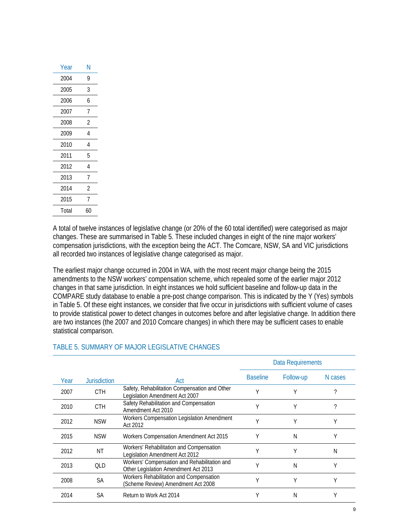| N  |
|----|
| 9  |
| 3  |
| 6  |
| 7  |
| 2  |
| 4  |
| 4  |
| 5  |
| 4  |
| 7  |
| 2  |
| 7  |
| 60 |
|    |

A total of twelve instances of legislative change (or 20% of the 60 total identified) were categorised as major changes. These are summarised in Table 5. These included changes in eight of the nine major workers' compensation jurisdictions, with the exception being the ACT. The Comcare, NSW, SA and VIC jurisdictions all recorded two instances of legislative change categorised as major.

The earliest major change occurred in 2004 in WA, with the most recent major change being the 2015 amendments to the NSW workers' compensation scheme, which repealed some of the earlier major 2012 changes in that same jurisdiction. In eight instances we hold sufficient baseline and follow-up data in the COMPARE study database to enable a pre-post change comparison. This is indicated by the Y (Yes) symbols in Table 5. Of these eight instances, we consider that five occur in jurisdictions with sufficient volume of cases to provide statistical power to detect changes in outcomes before and after legislative change. In addition there are two instances (the 2007 and 2010 Comcare changes) in which there may be sufficient cases to enable statistical comparison.

|      |                     |                                                                                      | <b>Data Requirements</b> |           |         |
|------|---------------------|--------------------------------------------------------------------------------------|--------------------------|-----------|---------|
| Year | <b>Jurisdiction</b> | Act                                                                                  | <b>Baseline</b>          | Follow-up | N cases |
| 2007 | <b>CTH</b>          | Safety, Rehabilitation Compensation and Other<br>Legislation Amendment Act 2007      |                          |           |         |
| 2010 | <b>CTH</b>          | Safety Rehabilitation and Compensation<br>Amendment Act 2010                         |                          | ٧         | 7       |
| 2012 | <b>NSW</b>          | Workers Compensation Legislation Amendment<br>Act 2012                               |                          |           | v       |
| 2015 | <b>NSW</b>          | Workers Compensation Amendment Act 2015                                              |                          | Ν         | Υ       |
| 2012 | ΝT                  | Workers' Rehabilitation and Compensation<br>Legislation Amendment Act 2012           |                          | ٧         | Ν       |
| 2013 | <b>OLD</b>          | Workers' Compensation and Rehabilitation and<br>Other Legislation Amendment Act 2013 |                          | N         | Υ       |
| 2008 | SА                  | Workers Rehabilitation and Compensation<br>(Scheme Review) Amendment Act 2008        |                          |           |         |
| 2014 | SА                  | Return to Work Act 2014                                                              |                          | N         |         |

#### TABLE 5. SUMMARY OF MAJOR LEGISLATIVE CHANGES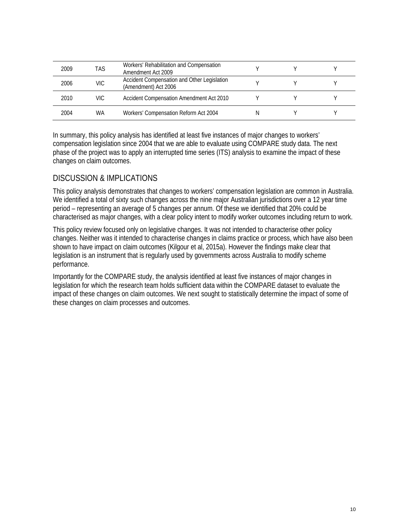| 2009 | TAS  | Workers' Rehabilitation and Compensation<br>Amendment Act 2009      |  |  |
|------|------|---------------------------------------------------------------------|--|--|
| 2006 | VIC. | Accident Compensation and Other Legislation<br>(Amendment) Act 2006 |  |  |
| 2010 | VIC  | Accident Compensation Amendment Act 2010                            |  |  |
| 2004 | WA   | Workers' Compensation Reform Act 2004                               |  |  |

In summary, this policy analysis has identified at least five instances of major changes to workers' compensation legislation since 2004 that we are able to evaluate using COMPARE study data. The next phase of the project was to apply an interrupted time series (ITS) analysis to examine the impact of these changes on claim outcomes.

### DISCUSSION & IMPLICATIONS

This policy analysis demonstrates that changes to workers' compensation legislation are common in Australia. We identified a total of sixty such changes across the nine major Australian jurisdictions over a 12 year time period – representing an average of 5 changes per annum. Of these we identified that 20% could be characterised as major changes, with a clear policy intent to modify worker outcomes including return to work.

This policy review focused only on legislative changes. It was not intended to characterise other policy changes. Neither was it intended to characterise changes in claims practice or process, which have also been shown to have impact on claim outcomes (Kilgour et al, 2015a). However the findings make clear that legislation is an instrument that is regularly used by governments across Australia to modify scheme performance.

Importantly for the COMPARE study, the analysis identified at least five instances of major changes in legislation for which the research team holds sufficient data within the COMPARE dataset to evaluate the impact of these changes on claim outcomes. We next sought to statistically determine the impact of some of these changes on claim processes and outcomes.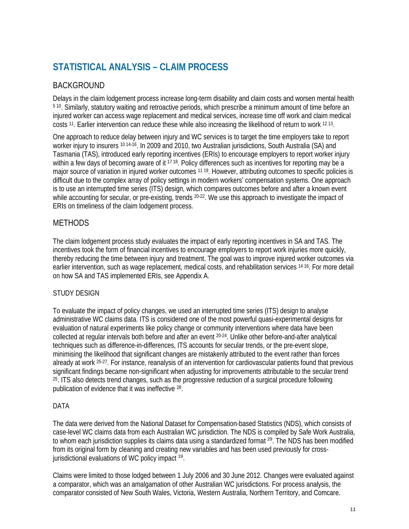# **STATISTICAL ANALYSIS – CLAIM PROCESS**

# BACKGROUND

Delays in the claim lodgement process increase long-term disability and claim costs and worsen mental health 5 10. Similarly, statutory waiting and retroactive periods, which prescribe a minimum amount of time before an injured worker can access wage replacement and medical services, increase time off work and claim medical costs 11. Earlier intervention can reduce these while also increasing the likelihood of return to work 12 13.

One approach to reduce delay between injury and WC services is to target the time employers take to report worker injury to insurers <sup>10 14-16</sup>. In 2009 and 2010, two Australian jurisdictions, South Australia (SA) and Tasmania (TAS), introduced early reporting incentives (ERIs) to encourage employers to report worker injury within a few days of becoming aware of it <sup>17 18</sup>. Policy differences such as incentives for reporting may be a major source of variation in injured worker outcomes 11 19. However, attributing outcomes to specific policies is difficult due to the complex array of policy settings in modern workers' compensation systems. One approach is to use an interrupted time series (ITS) design, which compares outcomes before and after a known event while accounting for secular, or pre-existing, trends <sup>20-22</sup>. We use this approach to investigate the impact of ERIs on timeliness of the claim lodgement process.

### **METHODS**

The claim lodgement process study evaluates the impact of early reporting incentives in SA and TAS. The incentives took the form of financial incentives to encourage employers to report work injuries more quickly, thereby reducing the time between injury and treatment. The goal was to improve injured worker outcomes via earlier intervention, such as wage replacement, medical costs, and rehabilitation services 14 16. For more detail on how SA and TAS implemented ERIs, see Appendix A.

### STUDY DESIGN

To evaluate the impact of policy changes, we used an interrupted time series (ITS) design to analyse administrative WC claims data. ITS is considered one of the most powerful quasi-experimental designs for evaluation of natural experiments like policy change or community interventions where data have been collected at regular intervals both before and after an event 20-24. Unlike other before-and-after analytical techniques such as difference-in-differences, ITS accounts for secular trends, or the pre-event slope, minimising the likelihood that significant changes are mistakenly attributed to the event rather than forces already at work 25-27. For instance, reanalysis of an intervention for cardiovascular patients found that previous significant findings became non-significant when adjusting for improvements attributable to the secular trend 25. ITS also detects trend changes, such as the progressive reduction of a surgical procedure following publication of evidence that it was ineffective 28.

#### DATA

The data were derived from the National Dataset for Compensation-based Statistics (NDS), which consists of case-level WC claims data from each Australian WC jurisdiction. The NDS is compiled by Safe Work Australia, to whom each jurisdiction supplies its claims data using a standardized format <sup>29</sup>. The NDS has been modified from its original form by cleaning and creating new variables and has been used previously for crossjurisdictional evaluations of WC policy impact 19.

Claims were limited to those lodged between 1 July 2006 and 30 June 2012. Changes were evaluated against a comparator, which was an amalgamation of other Australian WC jurisdictions. For process analysis, the comparator consisted of New South Wales, Victoria, Western Australia, Northern Territory, and Comcare.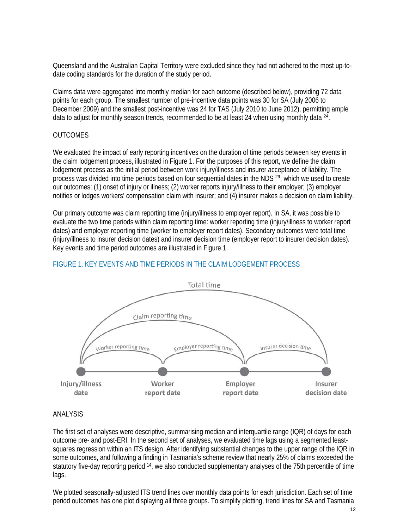Queensland and the Australian Capital Territory were excluded since they had not adhered to the most up-todate coding standards for the duration of the study period.

Claims data were aggregated into monthly median for each outcome (described below), providing 72 data points for each group. The smallest number of pre-incentive data points was 30 for SA (July 2006 to December 2009) and the smallest post-incentive was 24 for TAS (July 2010 to June 2012), permitting ample data to adjust for monthly season trends, recommended to be at least 24 when using monthly data  $24$ .

#### **OUTCOMES**

We evaluated the impact of early reporting incentives on the duration of time periods between key events in the claim lodgement process, illustrated in Figure 1. For the purposes of this report, we define the claim lodgement process as the initial period between work injury/illness and insurer acceptance of liability. The process was divided into time periods based on four sequential dates in the NDS<sup>29</sup>, which we used to create our outcomes: (1) onset of injury or illness; (2) worker reports injury/illness to their employer; (3) employer notifies or lodges workers' compensation claim with insurer; and (4) insurer makes a decision on claim liability.

Our primary outcome was claim reporting time (injury/illness to employer report). In SA, it was possible to evaluate the two time periods within claim reporting time: worker reporting time (injury/illness to worker report dates) and employer reporting time (worker to employer report dates). Secondary outcomes were total time (injury/illness to insurer decision dates) and insurer decision time (employer report to insurer decision dates). Key events and time period outcomes are illustrated in Figure 1.



#### FIGURE 1. KEY EVENTS AND TIME PERIODS IN THE CLAIM LODGEMENT PROCESS

#### ANALYSIS

The first set of analyses were descriptive, summarising median and interquartile range (IQR) of days for each outcome pre- and post-ERI. In the second set of analyses, we evaluated time lags using a segmented leastsquares regression within an ITS design. After identifying substantial changes to the upper range of the IQR in some outcomes, and following a finding in Tasmania's scheme review that nearly 25% of claims exceeded the statutory five-day reporting period <sup>14</sup>, we also conducted supplementary analyses of the 75th percentile of time lags.

We plotted seasonally-adjusted ITS trend lines over monthly data points for each jurisdiction. Each set of time period outcomes has one plot displaying all three groups. To simplify plotting, trend lines for SA and Tasmania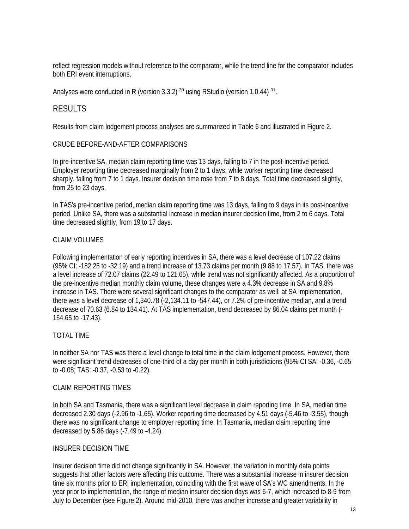reflect regression models without reference to the comparator, while the trend line for the comparator includes both ERI event interruptions.

Analyses were conducted in R (version 3.3.2)<sup>30</sup> using RStudio (version 1.0.44)<sup>31</sup>.

#### RESULTS

Results from claim lodgement process analyses are summarized in Table 6 and illustrated in Figure 2.

#### CRUDE BEFORE-AND-AFTER COMPARISONS

In pre-incentive SA, median claim reporting time was 13 days, falling to 7 in the post-incentive period. Employer reporting time decreased marginally from 2 to 1 days, while worker reporting time decreased sharply, falling from 7 to 1 days. Insurer decision time rose from 7 to 8 days. Total time decreased slightly, from 25 to 23 days.

In TAS's pre-incentive period, median claim reporting time was 13 days, falling to 9 days in its post-incentive period. Unlike SA, there was a substantial increase in median insurer decision time, from 2 to 6 days. Total time decreased slightly, from 19 to 17 days.

#### CLAIM VOLUMES

Following implementation of early reporting incentives in SA, there was a level decrease of 107.22 claims (95% CI: -182.25 to -32.19) and a trend increase of 13.73 claims per month (9.88 to 17.57). In TAS, there was a level increase of 72.07 claims (22.49 to 121.65), while trend was not significantly affected. As a proportion of the pre-incentive median monthly claim volume, these changes were a 4.3% decrease in SA and 9.8% increase in TAS. There were several significant changes to the comparator as well: at SA implementation, there was a level decrease of 1,340.78 (-2,134.11 to -547.44), or 7.2% of pre-incentive median, and a trend decrease of 70.63 (6.84 to 134.41). At TAS implementation, trend decreased by 86.04 claims per month (- 154.65 to -17.43).

#### TOTAL TIME

In neither SA nor TAS was there a level change to total time in the claim lodgement process. However, there were significant trend decreases of one-third of a day per month in both jurisdictions (95% CI SA: -0.36, -0.65 to -0.08; TAS: -0.37, -0.53 to -0.22).

#### CLAIM REPORTING TIMES

In both SA and Tasmania, there was a significant level decrease in claim reporting time. In SA, median time decreased 2.30 days (-2.96 to -1.65). Worker reporting time decreased by 4.51 days (-5.46 to -3.55), though there was no significant change to employer reporting time. In Tasmania, median claim reporting time decreased by 5.86 days (-7.49 to -4.24).

#### INSURER DECISION TIME

Insurer decision time did not change significantly in SA. However, the variation in monthly data points suggests that other factors were affecting this outcome. There was a substantial increase in insurer decision time six months prior to ERI implementation, coinciding with the first wave of SA's WC amendments. In the year prior to implementation, the range of median insurer decision days was 6-7, which increased to 8-9 from July to December (see Figure 2). Around mid-2010, there was another increase and greater variability in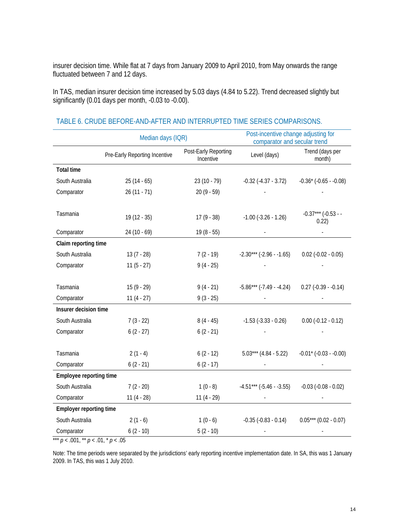insurer decision time. While flat at 7 days from January 2009 to April 2010, from May onwards the range fluctuated between 7 and 12 days.

In TAS, median insurer decision time increased by 5.03 days (4.84 to 5.22). Trend decreased slightly but significantly (0.01 days per month, -0.03 to -0.00).

|                                         | Median days (IQR)             | Post-incentive change adjusting for<br>comparator and secular trend |                             |                                |
|-----------------------------------------|-------------------------------|---------------------------------------------------------------------|-----------------------------|--------------------------------|
|                                         | Pre-Early Reporting Incentive | Post-Early Reporting<br>Incentive                                   | Level (days)                | Trend (days per<br>month)      |
| <b>Total time</b>                       |                               |                                                                     |                             |                                |
| South Australia                         | $25(14-65)$                   | $23(10 - 79)$                                                       | $-0.32$ $(-4.37 - 3.72)$    | $-0.36* (-0.65 - 0.08)$        |
| Comparator                              | $26(11 - 71)$                 | $20(9 - 59)$                                                        |                             |                                |
| Tasmania                                | $19(12 - 35)$                 | $17(9 - 38)$                                                        | $-1.00$ $(-3.26 - 1.26)$    | $-0.37***$ (-0.53 - -<br>0.22) |
| Comparator                              | $24(10-69)$                   | $19(8 - 55)$                                                        |                             |                                |
| Claim reporting time                    |                               |                                                                     |                             |                                |
| South Australia                         | $13(7 - 28)$                  | $7(2 - 19)$                                                         | $-2.30***$ $(-2.96 - 1.65)$ | $0.02$ ( $-0.02 - 0.05$ )      |
| Comparator                              | $11(5 - 27)$                  | $9(4 - 25)$                                                         |                             |                                |
|                                         |                               |                                                                     |                             |                                |
| Tasmania                                | $15(9 - 29)$                  | $9(4 - 21)$                                                         | $-5.86***$ (-7.49 - -4.24)  | $0.27$ ( $-0.39 - 0.14$ )      |
| Comparator                              | $11(4 - 27)$                  | $9(3 - 25)$                                                         |                             |                                |
| Insurer decision time                   |                               |                                                                     |                             |                                |
| South Australia                         | $7(3 - 22)$                   | $8(4-45)$                                                           | $-1.53$ $(-3.33 - 0.26)$    | $0.00$ (-0.12 - 0.12)          |
| Comparator                              | $6(2 - 27)$                   | $6(2 - 21)$                                                         |                             |                                |
|                                         |                               |                                                                     |                             |                                |
| Tasmania                                | $2(1 - 4)$                    | $6(2 - 12)$                                                         | $5.03***$ (4.84 - 5.22)     | $-0.01$ * ( $-0.03 - 0.00$ )   |
| Comparator                              | $6(2 - 21)$                   | $6(2 - 17)$                                                         |                             |                                |
| Employee reporting time                 |                               |                                                                     |                             |                                |
| South Australia                         | $7(2 - 20)$                   | $1(0-8)$                                                            | $-4.51***$ $(-5.46-.3.55)$  | $-0.03$ $(-0.08 - 0.02)$       |
| Comparator                              | $11(4 - 28)$                  | $11(4 - 29)$                                                        |                             |                                |
| <b>Employer reporting time</b>          |                               |                                                                     |                             |                                |
| South Australia                         | $2(1-6)$                      | $1(0-6)$                                                            | $-0.35$ $(-0.83 - 0.14)$    | $0.05***$ (0.02 - 0.07)        |
| Comparator                              | $6(2 - 10)$                   | $5(2 - 10)$                                                         |                             |                                |
| $p < .001$ , ** $p < .01$ , * $p < .05$ |                               |                                                                     |                             |                                |

#### TABLE 6. CRUDE BEFORE-AND-AFTER AND INTERRUPTED TIME SERIES COMPARISONS.

Note: The time periods were separated by the jurisdictions' early reporting incentive implementation date. In SA, this was 1 January 2009. In TAS, this was 1 July 2010.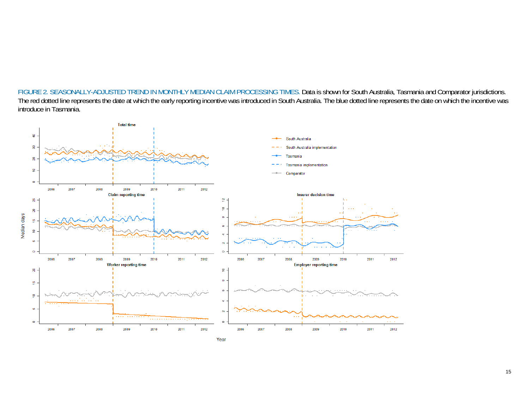FIGURE 2. SEASONALLY-ADJUSTED TREND IN MONTHLY MEDIAN CLAIM PROCESSING TIMES. Data is shown for South Australia, Tasmania and Comparator jurisdictions. The red dotted line represents the date at which the early reporting incentive was introduced in South Australia. The blue dotted line represents the date on which the incentive was introduce in Tasmania.

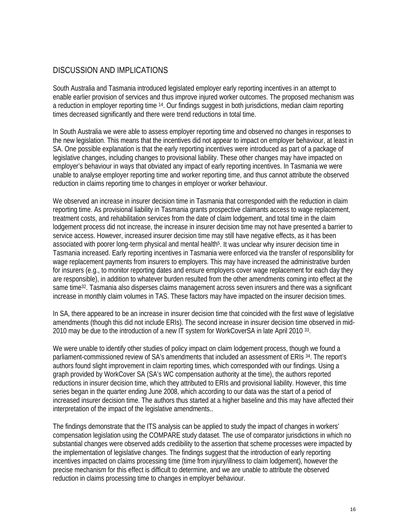### DISCUSSION AND IMPLICATIONS

South Australia and Tasmania introduced legislated employer early reporting incentives in an attempt to enable earlier provision of services and thus improve injured worker outcomes. The proposed mechanism was a reduction in employer reporting time 14. Our findings suggest in both jurisdictions, median claim reporting times decreased significantly and there were trend reductions in total time.

In South Australia we were able to assess employer reporting time and observed no changes in responses to the new legislation. This means that the incentives did not appear to impact on employer behaviour, at least in SA. One possible explanation is that the early reporting incentives were introduced as part of a package of legislative changes, including changes to provisional liability. These other changes may have impacted on employer's behaviour in ways that obviated any impact of early reporting incentives. In Tasmania we were unable to analyse employer reporting time and worker reporting time, and thus cannot attribute the observed reduction in claims reporting time to changes in employer or worker behaviour.

We observed an increase in insurer decision time in Tasmania that corresponded with the reduction in claim reporting time. As provisional liability in Tasmania grants prospective claimants access to wage replacement, treatment costs, and rehabilitation services from the date of claim lodgement, and total time in the claim lodgement process did not increase, the increase in insurer decision time may not have presented a barrier to service access. However, increased insurer decision time may still have negative effects, as it has been associated with poorer long-term physical and mental health<sup>5</sup>. It was unclear why insurer decision time in Tasmania increased. Early reporting incentives in Tasmania were enforced via the transfer of responsibility for wage replacement payments from insurers to employers. This may have increased the administrative burden for insurers (e.g., to monitor reporting dates and ensure employers cover wage replacement for each day they are responsible), in addition to whatever burden resulted from the other amendments coming into effect at the same time<sup>32</sup>. Tasmania also disperses claims management across seven insurers and there was a significant increase in monthly claim volumes in TAS. These factors may have impacted on the insurer decision times.

In SA, there appeared to be an increase in insurer decision time that coincided with the first wave of legislative amendments (though this did not include ERIs). The second increase in insurer decision time observed in mid-2010 may be due to the introduction of a new IT system for WorkCoverSA in late April 2010 33.

We were unable to identify other studies of policy impact on claim lodgement process, though we found a parliament-commissioned review of SA's amendments that included an assessment of ERIs 34. The report's authors found slight improvement in claim reporting times, which corresponded with our findings. Using a graph provided by WorkCover SA (SA's WC compensation authority at the time), the authors reported reductions in insurer decision time, which they attributed to ERIs and provisional liability. However, this time series began in the quarter ending June 2008, which according to our data was the start of a period of increased insurer decision time. The authors thus started at a higher baseline and this may have affected their interpretation of the impact of the legislative amendments..

The findings demonstrate that the ITS analysis can be applied to study the impact of changes in workers' compensation legislation using the COMPARE study dataset. The use of comparator jurisdictions in which no substantial changes were observed adds credibility to the assertion that scheme processes were impacted by the implementation of legislative changes. The findings suggest that the introduction of early reporting incentives impacted on claims processing time (time from injury/illness to claim lodgement), however the precise mechanism for this effect is difficult to determine, and we are unable to attribute the observed reduction in claims processing time to changes in employer behaviour.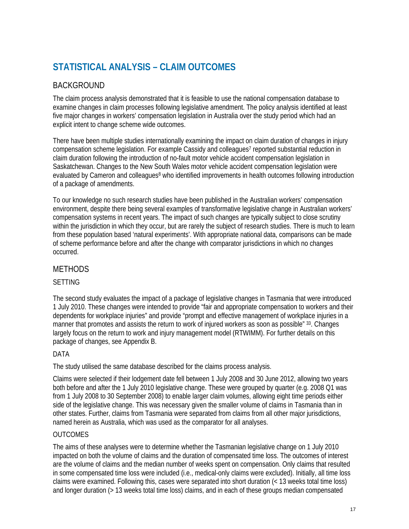# **STATISTICAL ANALYSIS – CLAIM OUTCOMES**

# BACKGROUND

The claim process analysis demonstrated that it is feasible to use the national compensation database to examine changes in claim processes following legislative amendment. The policy analysis identified at least five major changes in workers' compensation legislation in Australia over the study period which had an explicit intent to change scheme wide outcomes.

There have been multiple studies internationally examining the impact on claim duration of changes in injury compensation scheme legislation. For example Cassidy and colleagues<sup>7</sup> reported substantial reduction in claim duration following the introduction of no-fault motor vehicle accident compensation legislation in Saskatchewan. Changes to the New South Wales motor vehicle accident compensation legislation were evaluated by Cameron and colleagues<sup>8</sup> who identified improvements in health outcomes following introduction of a package of amendments.

To our knowledge no such research studies have been published in the Australian workers' compensation environment, despite there being several examples of transformative legislative change in Australian workers' compensation systems in recent years. The impact of such changes are typically subject to close scrutiny within the jurisdiction in which they occur, but are rarely the subject of research studies. There is much to learn from these population based 'natural experiments'. With appropriate national data, comparisons can be made of scheme performance before and after the change with comparator jurisdictions in which no changes occurred.

### METHODS

#### SETTING

The second study evaluates the impact of a package of legislative changes in Tasmania that were introduced 1 July 2010. These changes were intended to provide "fair and appropriate compensation to workers and their dependents for workplace injuries" and provide "prompt and effective management of workplace injuries in a manner that promotes and assists the return to work of injured workers as soon as possible" 33. Changes largely focus on the return to work and injury management model (RTWIMM). For further details on this package of changes, see Appendix B.

#### DATA

The study utilised the same database described for the claims process analysis.

Claims were selected if their lodgement date fell between 1 July 2008 and 30 June 2012, allowing two years both before and after the 1 July 2010 legislative change. These were grouped by quarter (e.g. 2008 Q1 was from 1 July 2008 to 30 September 2008) to enable larger claim volumes, allowing eight time periods either side of the legislative change. This was necessary given the smaller volume of claims in Tasmania than in other states. Further, claims from Tasmania were separated from claims from all other major jurisdictions, named herein as Australia, which was used as the comparator for all analyses.

#### OUTCOMES

The aims of these analyses were to determine whether the Tasmanian legislative change on 1 July 2010 impacted on both the volume of claims and the duration of compensated time loss. The outcomes of interest are the volume of claims and the median number of weeks spent on compensation. Only claims that resulted in some compensated time loss were included (i.e., medical-only claims were excluded). Initially, all time loss claims were examined. Following this, cases were separated into short duration (< 13 weeks total time loss) and longer duration (> 13 weeks total time loss) claims, and in each of these groups median compensated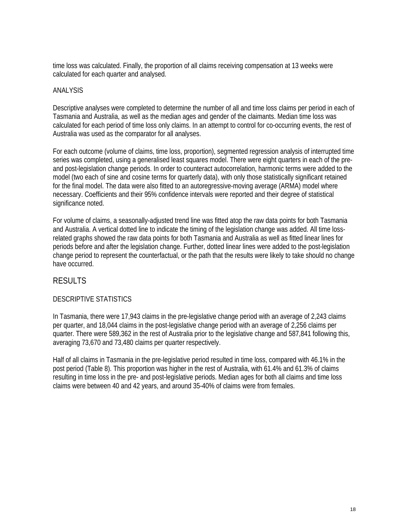time loss was calculated. Finally, the proportion of all claims receiving compensation at 13 weeks were calculated for each quarter and analysed.

#### ANALYSIS

Descriptive analyses were completed to determine the number of all and time loss claims per period in each of Tasmania and Australia, as well as the median ages and gender of the claimants. Median time loss was calculated for each period of time loss only claims. In an attempt to control for co-occurring events, the rest of Australia was used as the comparator for all analyses.

For each outcome (volume of claims, time loss, proportion), segmented regression analysis of interrupted time series was completed, using a generalised least squares model. There were eight quarters in each of the preand post-legislation change periods. In order to counteract autocorrelation, harmonic terms were added to the model (two each of sine and cosine terms for quarterly data), with only those statistically significant retained for the final model. The data were also fitted to an autoregressive-moving average (ARMA) model where necessary. Coefficients and their 95% confidence intervals were reported and their degree of statistical significance noted.

For volume of claims, a seasonally-adjusted trend line was fitted atop the raw data points for both Tasmania and Australia. A vertical dotted line to indicate the timing of the legislation change was added. All time lossrelated graphs showed the raw data points for both Tasmania and Australia as well as fitted linear lines for periods before and after the legislation change. Further, dotted linear lines were added to the post-legislation change period to represent the counterfactual, or the path that the results were likely to take should no change have occurred.

#### RESULTS

#### DESCRIPTIVE STATISTICS

In Tasmania, there were 17,943 claims in the pre-legislative change period with an average of 2,243 claims per quarter, and 18,044 claims in the post-legislative change period with an average of 2,256 claims per quarter. There were 589,362 in the rest of Australia prior to the legislative change and 587,841 following this, averaging 73,670 and 73,480 claims per quarter respectively.

Half of all claims in Tasmania in the pre-legislative period resulted in time loss, compared with 46.1% in the post period (Table 8). This proportion was higher in the rest of Australia, with 61.4% and 61.3% of claims resulting in time loss in the pre- and post-legislative periods. Median ages for both all claims and time loss claims were between 40 and 42 years, and around 35-40% of claims were from females.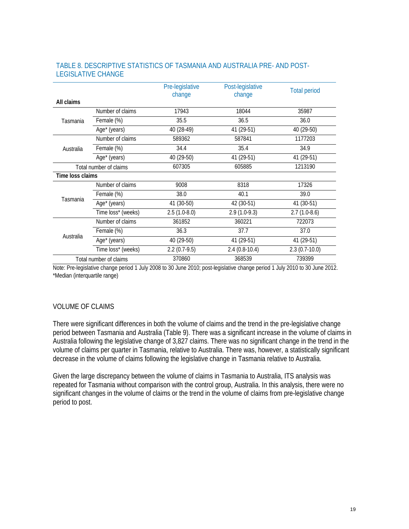|                  |                        | Pre-legislative<br>change | Post-legislative<br>change | <b>Total period</b> |
|------------------|------------------------|---------------------------|----------------------------|---------------------|
| All claims       |                        |                           |                            |                     |
|                  | Number of claims       | 17943                     | 18044                      | 35987               |
| Tasmania         | Female (%)             | 35.5                      | 36.5                       | 36.0                |
|                  | Age* (years)           | 40 (28-49)                | 41 (29-51)                 | 40 (29-50)          |
|                  | Number of claims       | 589362                    | 587841                     | 1177203             |
| Australia        | Female (%)             | 34.4                      | 35.4                       | 34.9                |
|                  | Age* (years)           | 40 (29-50)                | 41 (29-51)                 | 41 (29-51)          |
|                  | Total number of claims | 607305                    | 605885                     | 1213190             |
| Time loss claims |                        |                           |                            |                     |
|                  | Number of claims       | 9008                      | 8318                       | 17326               |
|                  | Female (%)             | 38.0                      | 40.1                       | 39.0                |
| Tasmania         | Age* (years)           | 41 (30-50)                | 42 (30-51)                 | 41 (30-51)          |
|                  | Time loss* (weeks)     | $2.5(1.0-8.0)$            | $2.9(1.0-9.3)$             | $2.7(1.0-8.6)$      |
|                  | Number of claims       | 361852                    | 360221                     | 722073              |
| Australia        | Female (%)             | 36.3                      | 37.7                       | 37.0                |
|                  | Age* (years)           | 40 (29-50)                | 41 (29-51)                 | 41 (29-51)          |
|                  | Time loss* (weeks)     | $2.2(0.7-9.5)$            | $2.4(0.8-10.4)$            | $2.3(0.7-10.0)$     |
|                  | Total number of claims | 370860                    | 368539                     | 739399              |

#### TABLE 8. DESCRIPTIVE STATISTICS OF TASMANIA AND AUSTRALIA PRE- AND POST-LEGISLATIVE CHANGE

Note: Pre-legislative change period 1 July 2008 to 30 June 2010; post-legislative change period 1 July 2010 to 30 June 2012. \*Median (interquartile range)

#### VOLUME OF CLAIMS

There were significant differences in both the volume of claims and the trend in the pre-legislative change period between Tasmania and Australia (Table 9). There was a significant increase in the volume of claims in Australia following the legislative change of 3,827 claims. There was no significant change in the trend in the volume of claims per quarter in Tasmania, relative to Australia. There was, however, a statistically significant decrease in the volume of claims following the legislative change in Tasmania relative to Australia.

Given the large discrepancy between the volume of claims in Tasmania to Australia, ITS analysis was repeated for Tasmania without comparison with the control group, Australia. In this analysis, there were no significant changes in the volume of claims or the trend in the volume of claims from pre-legislative change period to post.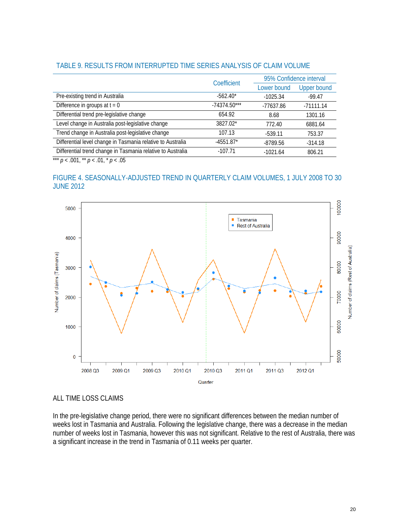|                                                             | Coefficient    | 95% Confidence interval |                    |  |
|-------------------------------------------------------------|----------------|-------------------------|--------------------|--|
|                                                             |                | Lower bound             | <b>Upper bound</b> |  |
| Pre-existing trend in Australia                             | $-562.40*$     | $-1025.34$              | $-99.47$           |  |
| Difference in groups at $t = 0$                             | $-74374.50***$ | $-77637.86$             | $-71111.14$        |  |
| Differential trend pre-legislative change                   | 654.92         | 8.68                    | 1301.16            |  |
| Level change in Australia post-legislative change           | 3827.02*       | 772.40                  | 6881.64            |  |
| Trend change in Australia post-legislative change           | 107.13         | $-539.11$               | 753.37             |  |
| Differential level change in Tasmania relative to Australia | $-4551.87*$    | $-8789.56$              | $-314.18$          |  |
| Differential trend change in Tasmania relative to Australia | $-107.71$      | $-1021.64$              | 806.21             |  |

#### TABLE 9. RESULTS FROM INTERRUPTED TIME SERIES ANALYSIS OF CLAIM VOLUME

\*\*\*  $p < .001$ , \*\*  $p < .01$ , \*  $p < .05$ 

#### FIGURE 4. SEASONALLY-ADJUSTED TREND IN QUARTERLY CLAIM VOLUMES, 1 JULY 2008 TO 30 JUNE 2012



#### ALL TIME LOSS CLAIMS

In the pre-legislative change period, there were no significant differences between the median number of weeks lost in Tasmania and Australia. Following the legislative change, there was a decrease in the median number of weeks lost in Tasmania, however this was not significant. Relative to the rest of Australia, there was a significant increase in the trend in Tasmania of 0.11 weeks per quarter.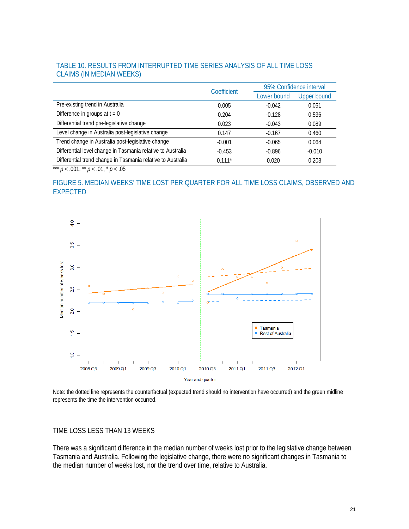#### TABLE 10. RESULTS FROM INTERRUPTED TIME SERIES ANALYSIS OF ALL TIME LOSS CLAIMS (IN MEDIAN WEEKS)

|                                                             | Coefficient | 95% Confidence interval |                    |  |
|-------------------------------------------------------------|-------------|-------------------------|--------------------|--|
|                                                             |             | Lower bound             | <b>Upper bound</b> |  |
| Pre-existing trend in Australia                             | 0.005       | $-0.042$                | 0.051              |  |
| Difference in groups at $t = 0$                             | 0.204       | $-0.128$                | 0.536              |  |
| Differential trend pre-legislative change                   | 0.023       | $-0.043$                | 0.089              |  |
| Level change in Australia post-legislative change           | 0.147       | $-0.167$                | 0.460              |  |
| Trend change in Australia post-legislative change           | $-0.001$    | $-0.065$                | 0.064              |  |
| Differential level change in Tasmania relative to Australia | $-0.453$    | $-0.896$                | $-0.010$           |  |
| Differential trend change in Tasmania relative to Australia | $0.111*$    | 0.020                   | 0.203              |  |

\*\*\*  $p < .001$ , \*\*  $p < .01$ , \*  $p < .05$ 

#### FIGURE 5. MEDIAN WEEKS' TIME LOST PER QUARTER FOR ALL TIME LOSS CLAIMS, OBSERVED AND EXPECTED



Note: the dotted line represents the counterfactual (expected trend should no intervention have occurred) and the green midline represents the time the intervention occurred.

#### TIME LOSS LESS THAN 13 WEEKS

There was a significant difference in the median number of weeks lost prior to the legislative change between Tasmania and Australia. Following the legislative change, there were no significant changes in Tasmania to the median number of weeks lost, nor the trend over time, relative to Australia.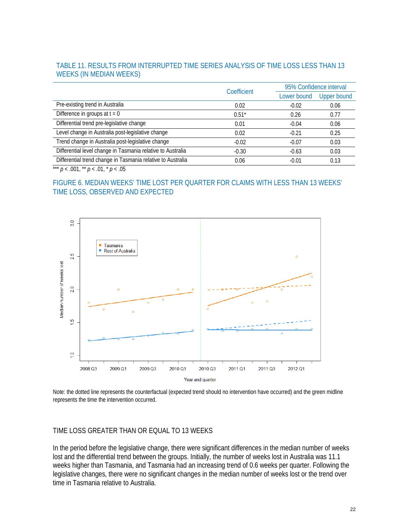#### TABLE 11. RESULTS FROM INTERRUPTED TIME SERIES ANALYSIS OF TIME LOSS LESS THAN 13 WEEKS (IN MEDIAN WEEKS)

|                                                             | Coefficient | 95% Confidence interval |                    |  |
|-------------------------------------------------------------|-------------|-------------------------|--------------------|--|
|                                                             |             | Lower bound             | <b>Upper bound</b> |  |
| Pre-existing trend in Australia                             | 0.02        | $-0.02$                 | 0.06               |  |
| Difference in groups at $t = 0$                             | $0.51*$     | 0.26                    | 0.77               |  |
| Differential trend pre-legislative change                   | 0.01        | $-0.04$                 | 0.06               |  |
| Level change in Australia post-legislative change           | 0.02        | $-0.21$                 | 0.25               |  |
| Trend change in Australia post-legislative change           | $-0.02$     | $-0.07$                 | 0.03               |  |
| Differential level change in Tasmania relative to Australia | $-0.30$     | $-0.63$                 | 0.03               |  |
| Differential trend change in Tasmania relative to Australia | 0.06        | $-0.01$                 | 0.13               |  |

\*\*\*  $p < .001$ , \*\*  $p < .01$ , \*  $p < .05$ 

#### FIGURE 6. MEDIAN WEEKS' TIME LOST PER QUARTER FOR CLAIMS WITH LESS THAN 13 WEEKS' TIME LOSS, OBSERVED AND EXPECTED



Note: the dotted line represents the counterfactual (expected trend should no intervention have occurred) and the green midline represents the time the intervention occurred.

#### TIME LOSS GREATER THAN OR EQUAL TO 13 WEEKS

In the period before the legislative change, there were significant differences in the median number of weeks lost and the differential trend between the groups. Initially, the number of weeks lost in Australia was 11.1 weeks higher than Tasmania, and Tasmania had an increasing trend of 0.6 weeks per quarter. Following the legislative changes, there were no significant changes in the median number of weeks lost or the trend over time in Tasmania relative to Australia.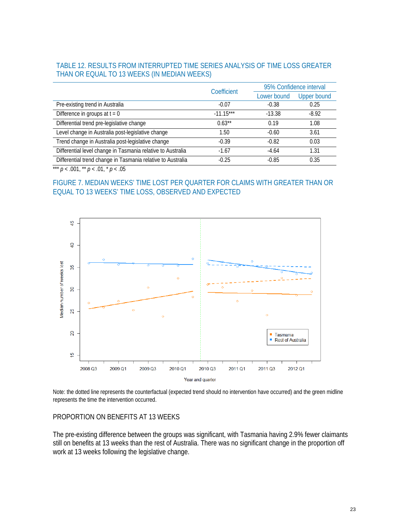#### TABLE 12. RESULTS FROM INTERRUPTED TIME SERIES ANALYSIS OF TIME LOSS GREATER THAN OR EQUAL TO 13 WEEKS (IN MEDIAN WEEKS)

|                                                             | Coefficient | 95% Confidence interval |                    |
|-------------------------------------------------------------|-------------|-------------------------|--------------------|
|                                                             |             | Lower bound             | <b>Upper bound</b> |
| Pre-existing trend in Australia                             | $-0.07$     | $-0.38$                 | 0.25               |
| Difference in groups at $t = 0$                             | $-11.15***$ | $-13.38$                | $-8.92$            |
| Differential trend pre-legislative change                   | $0.63**$    | 0.19                    | 1.08               |
| Level change in Australia post-legislative change           | 1.50        | $-0.60$                 | 3.61               |
| Trend change in Australia post-legislative change           | $-0.39$     | $-0.82$                 | 0.03               |
| Differential level change in Tasmania relative to Australia | $-1.67$     | $-4.64$                 | 1.31               |
| Differential trend change in Tasmania relative to Australia | $-0.25$     | $-0.85$                 | 0.35               |

\*\*\*  $p < .001$ , \*\*  $p < .01$ , \*  $p < .05$ 

#### FIGURE 7. MEDIAN WEEKS' TIME LOST PER QUARTER FOR CLAIMS WITH GREATER THAN OR EQUAL TO 13 WEEKS' TIME LOSS, OBSERVED AND EXPECTED



Note: the dotted line represents the counterfactual (expected trend should no intervention have occurred) and the green midline represents the time the intervention occurred.

#### PROPORTION ON BENEFITS AT 13 WEEKS

The pre-existing difference between the groups was significant, with Tasmania having 2.9% fewer claimants still on benefits at 13 weeks than the rest of Australia. There was no significant change in the proportion off work at 13 weeks following the legislative change.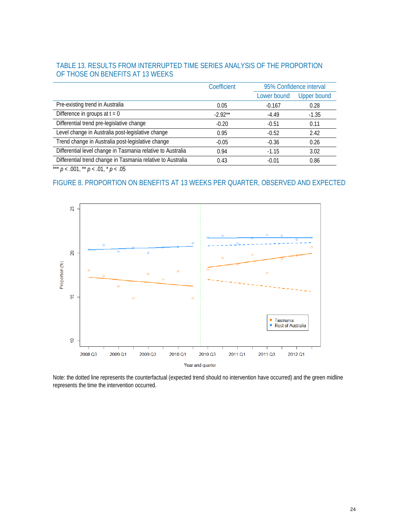#### TABLE 13. RESULTS FROM INTERRUPTED TIME SERIES ANALYSIS OF THE PROPORTION OF THOSE ON BENEFITS AT 13 WEEKS

|                                                             | Coefficient | 95% Confidence interval |                    |
|-------------------------------------------------------------|-------------|-------------------------|--------------------|
|                                                             |             | Lower bound             | <b>Upper bound</b> |
| Pre-existing trend in Australia                             | 0.05        | $-0.167$                | 0.28               |
| Difference in groups at $t = 0$                             | $-2.92**$   | $-4.49$                 | $-1.35$            |
| Differential trend pre-legislative change                   | $-0.20$     | $-0.51$                 | 0.11               |
| Level change in Australia post-legislative change           | 0.95        | $-0.52$                 | 2.42               |
| Trend change in Australia post-legislative change           | $-0.05$     | $-0.36$                 | 0.26               |
| Differential level change in Tasmania relative to Australia | 0.94        | $-1.15$                 | 3.02               |
| Differential trend change in Tasmania relative to Australia | 0.43        | $-0.01$                 | 0.86               |

\*\*\* *p* < .001, \*\* *p* < .01, \* *p* < .05

#### FIGURE 8. PROPORTION ON BENEFITS AT 13 WEEKS PER QUARTER, OBSERVED AND EXPECTED



Note: the dotted line represents the counterfactual (expected trend should no intervention have occurred) and the green midline represents the time the intervention occurred.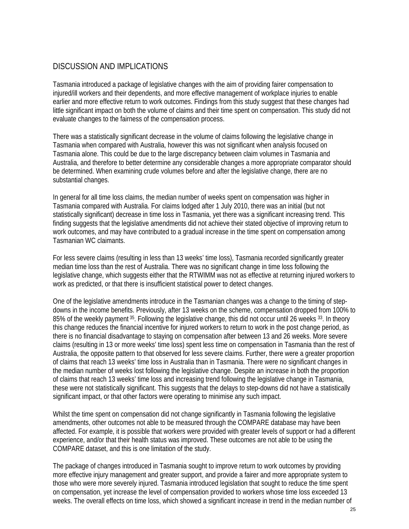### DISCUSSION AND IMPLICATIONS

Tasmania introduced a package of legislative changes with the aim of providing fairer compensation to injured/ill workers and their dependents, and more effective management of workplace injuries to enable earlier and more effective return to work outcomes. Findings from this study suggest that these changes had little significant impact on both the volume of claims and their time spent on compensation. This study did not evaluate changes to the fairness of the compensation process.

There was a statistically significant decrease in the volume of claims following the legislative change in Tasmania when compared with Australia, however this was not significant when analysis focused on Tasmania alone. This could be due to the large discrepancy between claim volumes in Tasmania and Australia, and therefore to better determine any considerable changes a more appropriate comparator should be determined. When examining crude volumes before and after the legislative change, there are no substantial changes.

In general for all time loss claims, the median number of weeks spent on compensation was higher in Tasmania compared with Australia. For claims lodged after 1 July 2010, there was an initial (but not statistically significant) decrease in time loss in Tasmania, yet there was a significant increasing trend. This finding suggests that the legislative amendments did not achieve their stated objective of improving return to work outcomes, and may have contributed to a gradual increase in the time spent on compensation among Tasmanian WC claimants.

For less severe claims (resulting in less than 13 weeks' time loss), Tasmania recorded significantly greater median time loss than the rest of Australia. There was no significant change in time loss following the legislative change, which suggests either that the RTWIMM was not as effective at returning injured workers to work as predicted, or that there is insufficient statistical power to detect changes.

One of the legislative amendments introduce in the Tasmanian changes was a change to the timing of stepdowns in the income benefits. Previously, after 13 weeks on the scheme, compensation dropped from 100% to 85% of the weekly payment 35. Following the legislative change, this did not occur until 26 weeks 33. In theory this change reduces the financial incentive for injured workers to return to work in the post change period, as there is no financial disadvantage to staying on compensation after between 13 and 26 weeks. More severe claims (resulting in 13 or more weeks' time loss) spent less time on compensation in Tasmania than the rest of Australia, the opposite pattern to that observed for less severe claims. Further, there were a greater proportion of claims that reach 13 weeks' time loss in Australia than in Tasmania. There were no significant changes in the median number of weeks lost following the legislative change. Despite an increase in both the proportion of claims that reach 13 weeks' time loss and increasing trend following the legislative change in Tasmania, these were not statistically significant. This suggests that the delays to step-downs did not have a statistically significant impact, or that other factors were operating to minimise any such impact.

Whilst the time spent on compensation did not change significantly in Tasmania following the legislative amendments, other outcomes not able to be measured through the COMPARE database may have been affected. For example, it is possible that workers were provided with greater levels of support or had a different experience, and/or that their health status was improved. These outcomes are not able to be using the COMPARE dataset, and this is one limitation of the study.

The package of changes introduced in Tasmania sought to improve return to work outcomes by providing more effective injury management and greater support, and provide a fairer and more appropriate system to those who were more severely injured. Tasmania introduced legislation that sought to reduce the time spent on compensation, yet increase the level of compensation provided to workers whose time loss exceeded 13 weeks. The overall effects on time loss, which showed a significant increase in trend in the median number of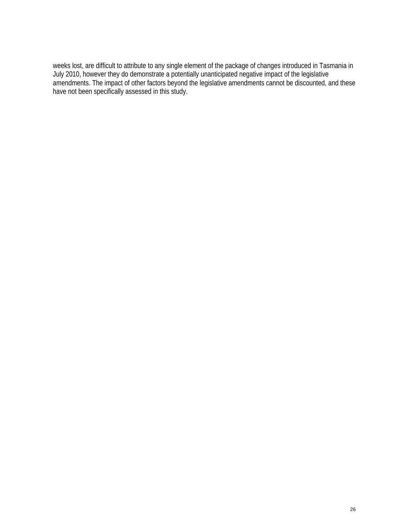weeks lost, are difficult to attribute to any single element of the package of changes introduced in Tasmania in July 2010, however they do demonstrate a potentially unanticipated negative impact of the legislative amendments. The impact of other factors beyond the legislative amendments cannot be discounted, and these have not been specifically assessed in this study.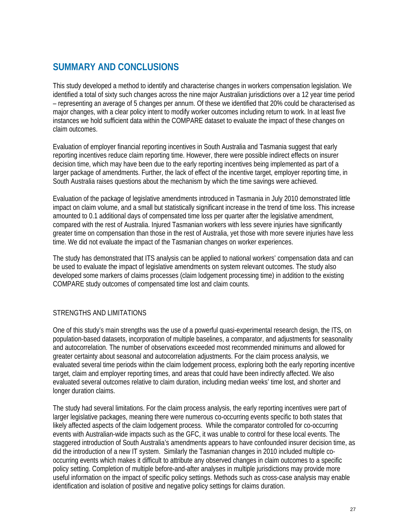# **SUMMARY AND CONCLUSIONS**

This study developed a method to identify and characterise changes in workers compensation legislation. We identified a total of sixty such changes across the nine major Australian jurisdictions over a 12 year time period – representing an average of 5 changes per annum. Of these we identified that 20% could be characterised as major changes, with a clear policy intent to modify worker outcomes including return to work. In at least five instances we hold sufficient data within the COMPARE dataset to evaluate the impact of these changes on claim outcomes.

Evaluation of employer financial reporting incentives in South Australia and Tasmania suggest that early reporting incentives reduce claim reporting time. However, there were possible indirect effects on insurer decision time, which may have been due to the early reporting incentives being implemented as part of a larger package of amendments. Further, the lack of effect of the incentive target, employer reporting time, in South Australia raises questions about the mechanism by which the time savings were achieved.

Evaluation of the package of legislative amendments introduced in Tasmania in July 2010 demonstrated little impact on claim volume, and a small but statistically significant increase in the trend of time loss. This increase amounted to 0.1 additional days of compensated time loss per quarter after the legislative amendment, compared with the rest of Australia. Injured Tasmanian workers with less severe injuries have significantly greater time on compensation than those in the rest of Australia, yet those with more severe injuries have less time. We did not evaluate the impact of the Tasmanian changes on worker experiences.

The study has demonstrated that ITS analysis can be applied to national workers' compensation data and can be used to evaluate the impact of legislative amendments on system relevant outcomes. The study also developed some markers of claims processes (claim lodgement processing time) in addition to the existing COMPARE study outcomes of compensated time lost and claim counts.

#### STRENGTHS AND LIMITATIONS

One of this study's main strengths was the use of a powerful quasi-experimental research design, the ITS, on population-based datasets, incorporation of multiple baselines, a comparator, and adjustments for seasonality and autocorrelation. The number of observations exceeded most recommended minimums and allowed for greater certainty about seasonal and autocorrelation adjustments. For the claim process analysis, we evaluated several time periods within the claim lodgement process, exploring both the early reporting incentive target, claim and employer reporting times, and areas that could have been indirectly affected. We also evaluated several outcomes relative to claim duration, including median weeks' time lost, and shorter and longer duration claims.

The study had several limitations. For the claim process analysis, the early reporting incentives were part of larger legislative packages, meaning there were numerous co-occurring events specific to both states that likely affected aspects of the claim lodgement process. While the comparator controlled for co-occurring events with Australian-wide impacts such as the GFC, it was unable to control for these local events. The staggered introduction of South Australia's amendments appears to have confounded insurer decision time, as did the introduction of a new IT system. Similarly the Tasmanian changes in 2010 included multiple cooccurring events which makes it difficult to attribute any observed changes in claim outcomes to a specific policy setting. Completion of multiple before-and-after analyses in multiple jurisdictions may provide more useful information on the impact of specific policy settings. Methods such as cross-case analysis may enable identification and isolation of positive and negative policy settings for claims duration.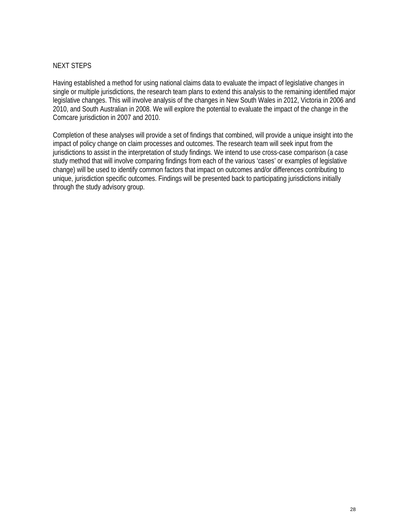#### NEXT STEPS

Having established a method for using national claims data to evaluate the impact of legislative changes in single or multiple jurisdictions, the research team plans to extend this analysis to the remaining identified major legislative changes. This will involve analysis of the changes in New South Wales in 2012, Victoria in 2006 and 2010, and South Australian in 2008. We will explore the potential to evaluate the impact of the change in the Comcare jurisdiction in 2007 and 2010.

Completion of these analyses will provide a set of findings that combined, will provide a unique insight into the impact of policy change on claim processes and outcomes. The research team will seek input from the jurisdictions to assist in the interpretation of study findings. We intend to use cross-case comparison (a case study method that will involve comparing findings from each of the various 'cases' or examples of legislative change) will be used to identify common factors that impact on outcomes and/or differences contributing to unique, jurisdiction specific outcomes. Findings will be presented back to participating jurisdictions initially through the study advisory group.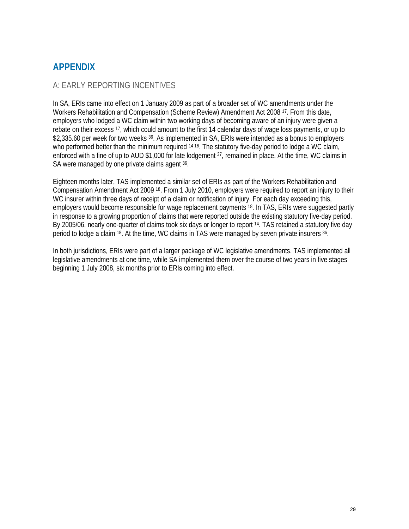# **APPENDIX**

### A: EARLY REPORTING INCENTIVES

In SA, ERIs came into effect on 1 January 2009 as part of a broader set of WC amendments under the Workers Rehabilitation and Compensation (Scheme Review) Amendment Act 2008 17. From this date, employers who lodged a WC claim within two working days of becoming aware of an injury were given a rebate on their excess 17, which could amount to the first 14 calendar days of wage loss payments, or up to \$2,335.60 per week for two weeks 36. As implemented in SA, ERIs were intended as a bonus to employers who performed better than the minimum required <sup>14 16</sup>. The statutory five-day period to lodge a WC claim, enforced with a fine of up to AUD \$1,000 for late lodgement 37, remained in place. At the time, WC claims in SA were managed by one private claims agent 36.

Eighteen months later, TAS implemented a similar set of ERIs as part of the Workers Rehabilitation and Compensation Amendment Act 2009 18. From 1 July 2010, employers were required to report an injury to their WC insurer within three days of receipt of a claim or notification of injury. For each day exceeding this, employers would become responsible for wage replacement payments 18. In TAS, ERIs were suggested partly in response to a growing proportion of claims that were reported outside the existing statutory five-day period. By 2005/06, nearly one-quarter of claims took six days or longer to report 14. TAS retained a statutory five day period to lodge a claim <sup>18</sup>. At the time, WC claims in TAS were managed by seven private insurers 36.

In both jurisdictions, ERIs were part of a larger package of WC legislative amendments. TAS implemented all legislative amendments at one time, while SA implemented them over the course of two years in five stages beginning 1 July 2008, six months prior to ERIs coming into effect.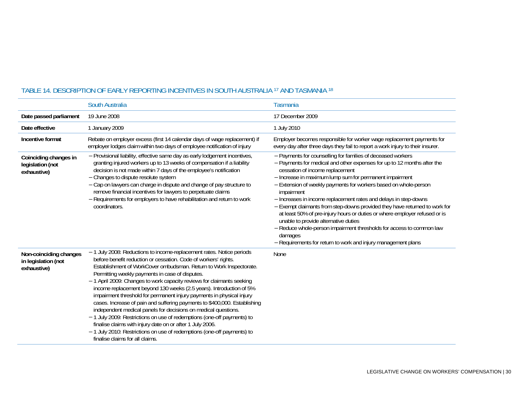|                                                              | South Australia                                                                                                                                                                                                                                                                                                                                                                                                                                                                                                                                                                                                                                                                                                                                                                                                                                                                              | Tasmania                                                                                                                                                                                                                                                                                                                                                                                                                                                                                                                                                                                                                                                                                                                                          |
|--------------------------------------------------------------|----------------------------------------------------------------------------------------------------------------------------------------------------------------------------------------------------------------------------------------------------------------------------------------------------------------------------------------------------------------------------------------------------------------------------------------------------------------------------------------------------------------------------------------------------------------------------------------------------------------------------------------------------------------------------------------------------------------------------------------------------------------------------------------------------------------------------------------------------------------------------------------------|---------------------------------------------------------------------------------------------------------------------------------------------------------------------------------------------------------------------------------------------------------------------------------------------------------------------------------------------------------------------------------------------------------------------------------------------------------------------------------------------------------------------------------------------------------------------------------------------------------------------------------------------------------------------------------------------------------------------------------------------------|
| Date passed parliament                                       | 19 June 2008                                                                                                                                                                                                                                                                                                                                                                                                                                                                                                                                                                                                                                                                                                                                                                                                                                                                                 | 17 December 2009                                                                                                                                                                                                                                                                                                                                                                                                                                                                                                                                                                                                                                                                                                                                  |
| Date effective                                               | 1 January 2009                                                                                                                                                                                                                                                                                                                                                                                                                                                                                                                                                                                                                                                                                                                                                                                                                                                                               | 1 July 2010                                                                                                                                                                                                                                                                                                                                                                                                                                                                                                                                                                                                                                                                                                                                       |
| Incentive format                                             | Rebate on employer excess (first 14 calendar days of wage replacement) if<br>employer lodges claim within two days of employee notification of injury                                                                                                                                                                                                                                                                                                                                                                                                                                                                                                                                                                                                                                                                                                                                        | Employer becomes responsible for worker wage replacement payments for<br>every day after three days they fail to report a work injury to their insurer.                                                                                                                                                                                                                                                                                                                                                                                                                                                                                                                                                                                           |
| Coinciding changes in<br>legislation (not<br>exhaustive)     | - Provisional liability, effective same day as early lodgement incentives,<br>granting injured workers up to 13 weeks of compensation if a liability<br>decision is not made within 7 days of the employee's notification<br>- Changes to dispute resolute system<br>- Cap on lawyers can charge in dispute and change of pay structure to<br>remove financial incentives for lawyers to perpetuate claims<br>- Requirements for employers to have rehabilitation and return to work<br>coordinators.                                                                                                                                                                                                                                                                                                                                                                                        | - Payments for counselling for families of deceased workers<br>-Payments for medical and other expenses for up to 12 months after the<br>cessation of income replacement<br>- Increase in maximum lump sum for permanent impairment<br>- Extension of weekly payments for workers based on whole-person<br>impairment<br>- Increases in income replacement rates and delays in step-downs<br>- Exempt claimants from step-downs provided they have returned to work for<br>at least 50% of pre-injury hours or duties or where employer refused or is<br>unable to provide alternative duties<br>- Reduce whole-person impairment thresholds for access to common law<br>damages<br>- Requirements for return to work and injury management plans |
| Non-coinciding changes<br>in legislation (not<br>exhaustive) | -1 July 2008: Reductions to income-replacement rates. Notice periods<br>before benefit reduction or cessation. Code of workers' rights.<br>Establishment of WorkCover ombudsman. Return to Work Inspectorate.<br>Permitting weekly payments in case of disputes.<br>-1 April 2009: Changes to work capacity reviews for claimants seeking<br>income replacement beyond 130 weeks (2.5 years). Introduction of 5%<br>impairment threshold for permanent injury payments in physical injury<br>cases. Increase of pain and suffering payments to \$400,000. Establishing<br>independent medical panels for decisions on medical questions.<br>-1 July 2009: Restrictions on use of redemptions (one-off payments) to<br>finalise claims with injury date on or after 1 July 2006.<br>-1 July 2010: Restrictions on use of redemptions (one-off payments) to<br>finalise claims for all claims. | None                                                                                                                                                                                                                                                                                                                                                                                                                                                                                                                                                                                                                                                                                                                                              |

#### TABLE 14. DESCRIPTION OF EARLY REPORTING INCENTIVES IN SOUTH AUSTRALIA 17 AND TASMANIA 18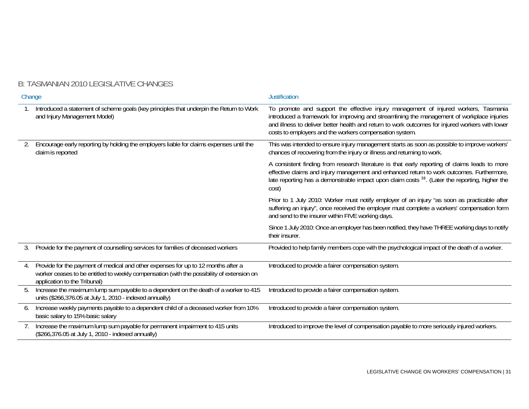# B: TASMANIAN 2010 LEGISLATIVE CHANGES

| Change |                                                                                                                                                                                                                | <b>Justification</b>                                                                                                                                                                                                                                                                                                                            |  |
|--------|----------------------------------------------------------------------------------------------------------------------------------------------------------------------------------------------------------------|-------------------------------------------------------------------------------------------------------------------------------------------------------------------------------------------------------------------------------------------------------------------------------------------------------------------------------------------------|--|
|        | Introduced a statement of scheme goals (key principles that underpin the Return to Work<br>and Injury Management Model)                                                                                        | To promote and support the effective injury management of injured workers, Tasmania<br>introduced a framework for improving and streamlining the management of workplace injuries<br>and illness to deliver better health and return to work outcomes for injured workers with lower<br>costs to employers and the workers compensation system. |  |
| 2.     | Encourage early reporting by holding the employers liable for claims expenses until the<br>claim is reported                                                                                                   | This was intended to ensure injury management starts as soon as possible to improve workers'<br>chances of recovering from the injury or illness and returning to work.                                                                                                                                                                         |  |
|        |                                                                                                                                                                                                                | A consistent finding from research literature is that early reporting of claims leads to more<br>effective claims and injury management and enhanced return to work outcomes. Furthermore,<br>late reporting has a demonstrable impact upon claim costs <sup>38</sup> . (Later the reporting, higher the<br>cost)                               |  |
|        |                                                                                                                                                                                                                | Prior to 1 July 2010: Worker must notify employer of an injury "as soon as practicable after<br>suffering an injury", once received the employer must complete a workers' compensation form<br>and send to the insurer within FIVE working days.                                                                                                |  |
|        |                                                                                                                                                                                                                | Since 1 July 2010: Once an employer has been notified, they have THREE working days to notify<br>their insurer.                                                                                                                                                                                                                                 |  |
| 3.     | Provide for the payment of counselling services for families of deceased workers                                                                                                                               | Provided to help family members cope with the psychological impact of the death of a worker.                                                                                                                                                                                                                                                    |  |
| 4.     | Provide for the payment of medical and other expenses for up to 12 months after a<br>worker ceases to be entitled to weekly compensation (with the possibility of extension on<br>application to the Tribunal) | Introduced to provide a fairer compensation system.                                                                                                                                                                                                                                                                                             |  |
| 5.     | Increase the maximum lump sum payable to a dependent on the death of a worker to 415<br>units (\$266,376.05 at July 1, 2010 - indexed annually)                                                                | Introduced to provide a fairer compensation system.                                                                                                                                                                                                                                                                                             |  |
| 6.     | Increase weekly payments payable to a dependent child of a deceased worker from 10%<br>basic salary to 15% basic salary                                                                                        | Introduced to provide a fairer compensation system.                                                                                                                                                                                                                                                                                             |  |
| 7.     | Increase the maximum lump sum payable for permanent impairment to 415 units<br>(\$266,376.05 at July 1, 2010 - indexed annually)                                                                               | Introduced to improve the level of compensation payable to more seriously injured workers.                                                                                                                                                                                                                                                      |  |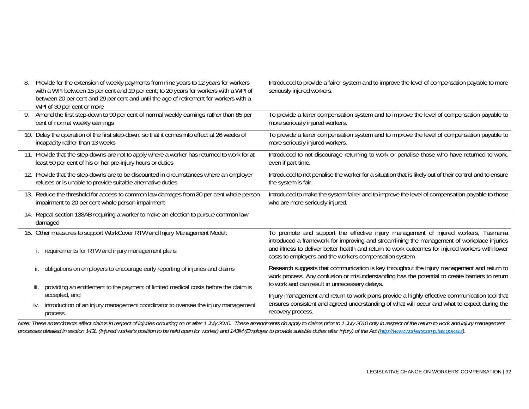| 8. | Provide for the extension of weekly payments from nine years to 12 years for workers<br>with a WPI between 15 per cent and 19 per cent; to 20 years for workers with a WPI of<br>between 20 per cent and 29 per cent and until the age of retirement for workers with a<br>WPI of 30 per cent or more | Introduced to provide a fairer system and to improve the level of compensation payable to more<br>seriously injured workers.                                                                                                                                                                                                                    |  |
|----|-------------------------------------------------------------------------------------------------------------------------------------------------------------------------------------------------------------------------------------------------------------------------------------------------------|-------------------------------------------------------------------------------------------------------------------------------------------------------------------------------------------------------------------------------------------------------------------------------------------------------------------------------------------------|--|
|    | Amend the first step-down to 90 per cent of normal weekly earnings rather than 85 per<br>cent of normal weekly earnings                                                                                                                                                                               | To provide a fairer compensation system and to improve the level of compensation payable to<br>more seriously injured workers.                                                                                                                                                                                                                  |  |
|    | 10. Delay the operation of the first step-down, so that it comes into effect at 26 weeks of<br>incapacity rather than 13 weeks                                                                                                                                                                        | To provide a fairer compensation system and to improve the level of compensation payable to<br>more seriously injured workers.                                                                                                                                                                                                                  |  |
|    | 11. Provide that the step-downs are not to apply where a worker has returned to work for at<br>least 50 per cent of his or her pre-injury hours or duties                                                                                                                                             | Introduced to not discourage returning to work or penalise those who have returned to work,<br>even if part time.                                                                                                                                                                                                                               |  |
|    | 12. Provide that the step-downs are to be discounted in circumstances where an employer<br>refuses or is unable to provide suitable alternative duties                                                                                                                                                | Introduced to not penalise the worker for a situation that is likely out of their control and to ensure<br>the system is fair.                                                                                                                                                                                                                  |  |
|    | 13. Reduce the threshold for access to common law damages from 30 per cent whole person<br>impairment to 20 per cent whole person impairment                                                                                                                                                          | Introduced to make the system fairer and to improve the level of compensation payable to those<br>who are more seriously injured.                                                                                                                                                                                                               |  |
|    | 14. Repeal section 138AB requiring a worker to make an election to pursue common law<br>damaged                                                                                                                                                                                                       |                                                                                                                                                                                                                                                                                                                                                 |  |
|    | 15. Other measures to support WorkCover RTW and Injury Management Model:<br>requirements for RTW and injury management plans                                                                                                                                                                          | To promote and support the effective injury management of injured workers, Tasmania<br>introduced a framework for improving and streamlining the management of workplace injuries<br>and illness to deliver better health and return to work outcomes for injured workers with lower<br>costs to employers and the workers compensation system. |  |
|    | obligations on employers to encourage early reporting of injuries and claims                                                                                                                                                                                                                          | Research suggests that communication is key throughout the injury management and return to<br>work process. Any confusion or misunderstanding has the potential to create barriers to return                                                                                                                                                    |  |
|    | providing an entitlement to the payment of limited medical costs before the claim is<br>iii.<br>accepted, and                                                                                                                                                                                         | to work and can result in unnecessary delays.<br>Injury management and return to work plans provide a highly effective communication tool that                                                                                                                                                                                                  |  |
|    | introduction of an injury management coordinator to oversee the injury management<br>İV.<br>process.                                                                                                                                                                                                  | ensures consistent and agreed understanding of what will occur and what to expect during the<br>recovery process.                                                                                                                                                                                                                               |  |

*Note: These amendments affect claims in respect of injuries occurring on or after 1 July 2010. These amendments do apply to claims prior to 1 July 2010 only in respect of the return to work and injury management*  processes detailed in section 143L (Injured worker's position to be held open for worker) and 143M (Employer to provide suitable duties after injury) of the Act (http://www.workerscomp.tas.gov.au/).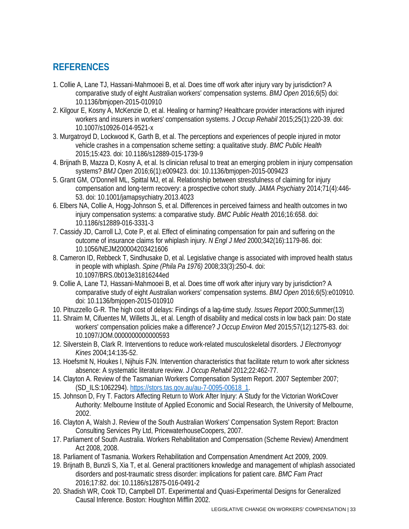# **REFERENCES**

- 1. Collie A, Lane TJ, Hassani-Mahmooei B, et al. Does time off work after injury vary by jurisdiction? A comparative study of eight Australian workers' compensation systems. *BMJ Open* 2016;6(5) doi: 10.1136/bmjopen-2015-010910
- 2. Kilgour E, Kosny A, McKenzie D, et al. Healing or harming? Healthcare provider interactions with injured workers and insurers in workers' compensation systems. *J Occup Rehabil* 2015;25(1):220-39. doi: 10.1007/s10926-014-9521-x
- 3. Murgatroyd D, Lockwood K, Garth B, et al. The perceptions and experiences of people injured in motor vehicle crashes in a compensation scheme setting: a qualitative study. *BMC Public Health* 2015;15:423. doi: 10.1186/s12889-015-1739-9
- 4. Brijnath B, Mazza D, Kosny A, et al. Is clinician refusal to treat an emerging problem in injury compensation systems? *BMJ Open* 2016;6(1):e009423. doi: 10.1136/bmjopen-2015-009423
- 5. Grant GM, O'Donnell ML, Spittal MJ, et al. Relationship between stressfulness of claiming for injury compensation and long-term recovery: a prospective cohort study. *JAMA Psychiatry* 2014;71(4):446- 53. doi: 10.1001/jamapsychiatry.2013.4023
- 6. Elbers NA, Collie A, Hogg-Johnson S, et al. Differences in perceived fairness and health outcomes in two injury compensation systems: a comparative study. *BMC Public Health* 2016;16:658. doi: 10.1186/s12889-016-3331-3
- 7. Cassidy JD, Carroll LJ, Cote P, et al. Effect of eliminating compensation for pain and suffering on the outcome of insurance claims for whiplash injury. *N Engl J Med* 2000;342(16):1179-86. doi: 10.1056/NEJM200004203421606
- 8. Cameron ID, Rebbeck T, Sindhusake D, et al. Legislative change is associated with improved health status in people with whiplash. *Spine (Phila Pa 1976)* 2008;33(3):250-4. doi: 10.1097/BRS.0b013e31816244ed
- 9. Collie A, Lane TJ, Hassani-Mahmooei B, et al. Does time off work after injury vary by jurisdiction? A comparative study of eight Australian workers' compensation systems. *BMJ Open* 2016;6(5):e010910. doi: 10.1136/bmjopen-2015-010910
- 10. Pitruzzello G-R. The high cost of delays: Findings of a lag-time study. *Issues Report* 2000;Summer(13)
- 11. Shraim M, Cifuentes M, Willetts JL, et al. Length of disability and medical costs in low back pain: Do state workers' compensation policies make a difference? *J Occup Environ Med* 2015;57(12):1275-83. doi: 10.1097/JOM.0000000000000593
- 12. Silverstein B, Clark R. Interventions to reduce work-related musculoskeletal disorders. *J Electromyogr Kines* 2004;14:135-52.
- 13. Hoefsmit N, Houkes I, Nijhuis FJN. Intervention characteristics that facilitate return to work after sickness absence: A systematic literature review. *J Occup Rehabil* 2012;22:462-77.
- 14. Clayton A. Review of the Tasmanian Workers Compensation System Report. 2007 September 2007; (SD\_ILS:1062294). https://stors.tas.gov.au/au-7-0095-00618\_1.
- 15. Johnson D, Fry T. Factors Affecting Return to Work After Injury: A Study for the Victorian WorkCover Authority: Melbourne Institute of Applied Economic and Social Research, the University of Melbourne, 2002.
- 16. Clayton A, Walsh J. Review of the South Australian Workers' Compensation System Report: Bracton Consulting Services Pty Ltd, PricewaterhouseCoopers, 2007.
- 17. Parliament of South Australia. Workers Rehabilitation and Compensation (Scheme Review) Amendment Act 2008, 2008.
- 18. Parliament of Tasmania. Workers Rehabilitation and Compensation Amendment Act 2009, 2009.
- 19. Brijnath B, Bunzli S, Xia T, et al. General practitioners knowledge and management of whiplash associated disorders and post-traumatic stress disorder: implications for patient care. *BMC Fam Pract* 2016;17:82. doi: 10.1186/s12875-016-0491-2
- 20. Shadish WR, Cook TD, Campbell DT. Experimental and Quasi-Experimental Designs for Generalized Causal Inference. Boston: Houghton Mifflin 2002.